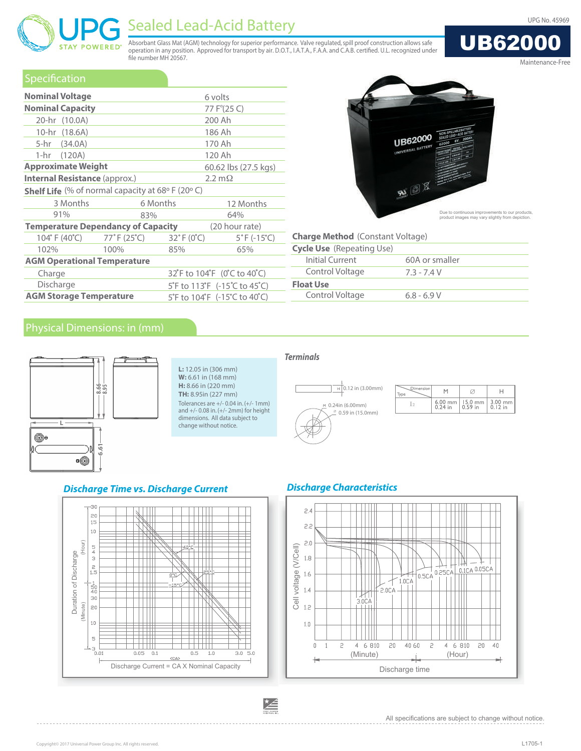UB62000

# Sealed Lead-Acid Battery and the Contract of the Contract of the Contract of the Contract of the UPG No. 45969

Absorbant Glass Mat (AGM) technology for superior performance. Valve regulated, spill proof construction allows safe operation in any position. Approved for transport by air. D.O.T., I.A.T.A., F.A.A. and C.A.B. certifed. U.L. recognized under fle number MH 20567.

| Maintenance-Free |  |
|------------------|--|

| Specification                                                          |                                  |                                 |                                  |  |  |  |
|------------------------------------------------------------------------|----------------------------------|---------------------------------|----------------------------------|--|--|--|
| <b>Nominal Voltage</b>                                                 |                                  |                                 | 6 volts                          |  |  |  |
| <b>Nominal Capacity</b>                                                |                                  |                                 | 77 F°(25 C)                      |  |  |  |
| 20-hr (10.0A)                                                          |                                  |                                 | 200 Ah                           |  |  |  |
| 10-hr (18.6A)                                                          |                                  |                                 | 186 Ah                           |  |  |  |
| 5-hr (34.0A)                                                           |                                  |                                 | 170 Ah                           |  |  |  |
| 120 Ah<br>1-hr (120A)                                                  |                                  |                                 |                                  |  |  |  |
| <b>Approximate Weight</b>                                              |                                  |                                 | 60.62 lbs (27.5 kgs)             |  |  |  |
| <b>Internal Resistance (approx.)</b>                                   |                                  |                                 | $2.2 \text{ m}\Omega$            |  |  |  |
| <b>Shelf Life</b> (% of normal capacity at 68 $\circ$ F (20 $\circ$ C) |                                  |                                 |                                  |  |  |  |
| 3 Months                                                               |                                  | 6 Months<br>12 Months           |                                  |  |  |  |
| 91%                                                                    | 83%                              | 64%                             |                                  |  |  |  |
| <b>Temperature Dependancy of Capacity</b>                              |                                  | (20 hour rate)                  |                                  |  |  |  |
| 104° F (40°C)                                                          | $77^{\circ}$ F (25 $^{\circ}$ C) | $32^{\circ}$ F (0 $^{\circ}$ C) | $5^{\circ}$ F (-15 $^{\circ}$ C) |  |  |  |
| 102%                                                                   | 100%                             | 85%                             | 65%                              |  |  |  |
| <b>AGM Operational Temperature</b>                                     |                                  |                                 |                                  |  |  |  |
| Charge                                                                 | 32°F to 104°F (0°C to 40°C)      |                                 |                                  |  |  |  |
| Discharge                                                              |                                  |                                 | 5°F to 113°F (-15°C to 45°C)     |  |  |  |
| <b>AGM Storage Temperature</b>                                         |                                  |                                 | 5°F to 104°F (-15°C to 40°C)     |  |  |  |



Due to continuous improvements to our products, product images may vary slightly from depiction.

| 60A or smaller |
|----------------|
| $7.3 - 7.4 V$  |
|                |
| $6.8 - 6.9 V$  |
|                |

**STAY POWERED**®



**L:** 12.05 in (306 mm) **W:** 6.61 in (168 mm) **H:** 8.66 in (220 mm) **TH:** 8.95in (227 mm) Tolerances are +/- 0.04 in. (+/- 1mm) and +/- 0.08 in. (+/- 2mm) for height dimensions. All data subject to change without notice.

#### *Terminals*



| Dimension |           |                      |                     |  |  |
|-----------|-----------|----------------------|---------------------|--|--|
|           | $6.00$ mm | $15.0$ mm<br>0.59 in | $3.00 \, \text{mm}$ |  |  |

#### *Discharge Time vs. Discharge Current*



### *Discharge Characteristics*



All specifications are subject to change without notice.